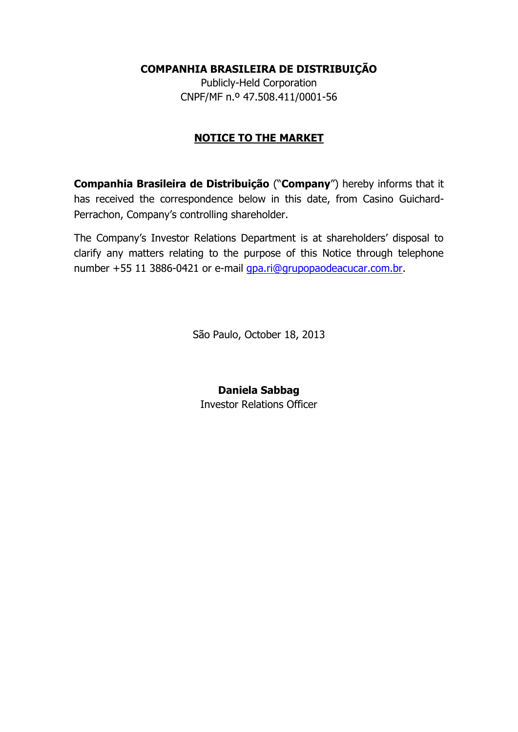## **COMPANHIA BRASILEIRA DE DISTRIBUIÇÃO**

Publicly-Held Corporation CNPF/MF n.º 47.508.411/0001-56

## **NOTICE TO THE MARKET**

**Companhia Brasileira de Distribuição** ("**Company**") hereby informs that it has received the correspondence below in this date, from Casino Guichard-Perrachon, Company's controlling shareholder.

The Company's Investor Relations Department is at shareholders' disposal to clarify any matters relating to the purpose of this Notice through telephone number +55 11 3886-0421 or e-mail [gpa.ri@grupopaodeacucar.com.br.](mailto:gpa.ri@grupopaodeacucar.com.br)

São Paulo, October 18, 2013

**Daniela Sabbag** Investor Relations Officer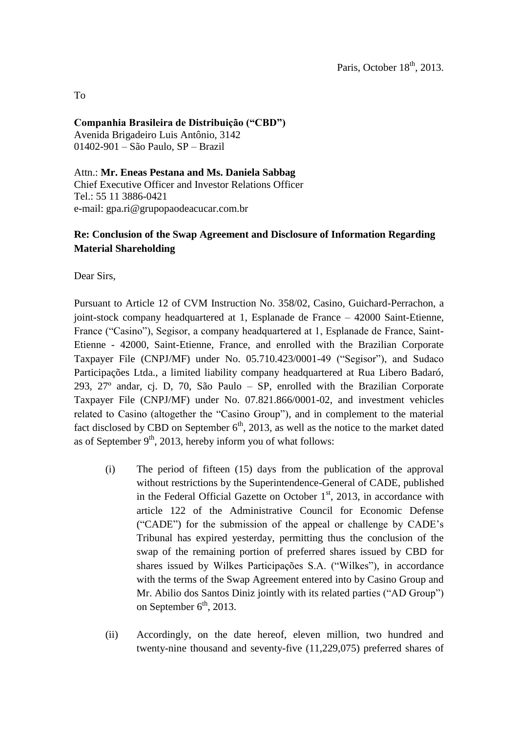To

## **Companhia Brasileira de Distribuição ("CBD")**

Avenida Brigadeiro Luis Antônio, 3142 01402-901 – São Paulo, SP – Brazil

Attn.: **Mr. Eneas Pestana and Ms. Daniela Sabbag** Chief Executive Officer and Investor Relations Officer Tel.: 55 11 3886-0421 e-mail: gpa.ri@grupopaodeacucar.com.br

## **Re: Conclusion of the Swap Agreement and Disclosure of Information Regarding Material Shareholding**

Dear Sirs,

Pursuant to Article 12 of CVM Instruction No. 358/02, Casino, Guichard-Perrachon, a joint-stock company headquartered at 1, Esplanade de France – 42000 Saint-Etienne, France ("Casino"), Segisor, a company headquartered at 1, Esplanade de France, Saint-Etienne - 42000, Saint-Etienne, France, and enrolled with the Brazilian Corporate Taxpayer File (CNPJ/MF) under No. 05.710.423/0001-49 ("Segisor"), and Sudaco Participações Ltda., a limited liability company headquartered at Rua Libero Badaró, 293, 27º andar, cj. D, 70, São Paulo – SP, enrolled with the Brazilian Corporate Taxpayer File (CNPJ/MF) under No. 07.821.866/0001-02, and investment vehicles related to Casino (altogether the "Casino Group"), and in complement to the material fact disclosed by CBD on September  $6<sup>th</sup>$ , 2013, as well as the notice to the market dated as of September  $9<sup>th</sup>$ , 2013, hereby inform you of what follows:

- (i) The period of fifteen (15) days from the publication of the approval without restrictions by the Superintendence-General of CADE, published in the Federal Official Gazette on October  $1<sup>st</sup>$ , 2013, in accordance with article 122 of the Administrative Council for Economic Defense ("CADE") for the submission of the appeal or challenge by CADE's Tribunal has expired yesterday, permitting thus the conclusion of the swap of the remaining portion of preferred shares issued by CBD for shares issued by Wilkes Participações S.A. ("Wilkes"), in accordance with the terms of the Swap Agreement entered into by Casino Group and Mr. Abilio dos Santos Diniz jointly with its related parties ("AD Group") on September  $6<sup>th</sup>$ , 2013.
- (ii) Accordingly, on the date hereof, eleven million, two hundred and twenty-nine thousand and seventy-five (11,229,075) preferred shares of